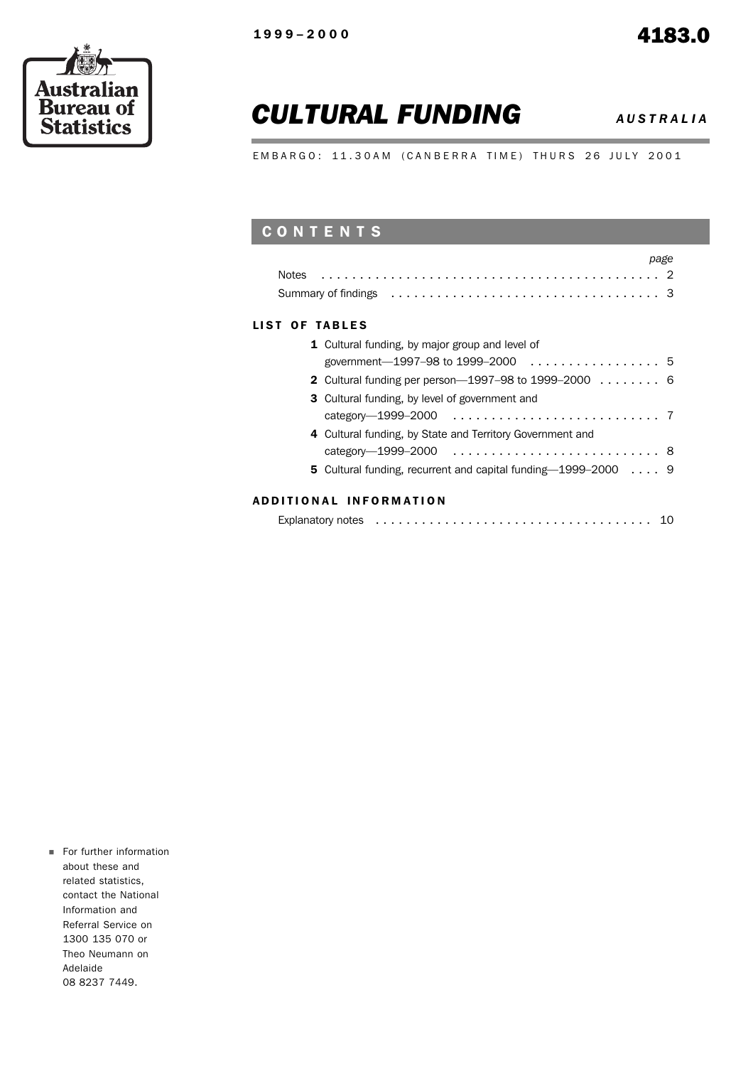r.



# *CULTURAL FUNDING AUSTRALIA*

EMBARGO: 11.30AM (CANBERRA TIME) THURS 26 JULY 2001

## CONTENTS

| page                                                             |
|------------------------------------------------------------------|
| <b>Notes</b>                                                     |
|                                                                  |
| LIST OF TABLES                                                   |
| 1 Cultural funding, by major group and level of                  |
| government-1997-98 to 1999-2000 5                                |
| 2 Cultural funding per person-1997-98 to 1999-2000 6             |
| <b>3</b> Cultural funding, by level of government and            |
|                                                                  |
| 4 Cultural funding, by State and Territory Government and        |
|                                                                  |
| 5 Cultural funding, recurrent and capital funding $-1999-2000$ 9 |
|                                                                  |

#### ADDITIONAL INFORMATION

|--|--|--|

For further information about these and related statistics, contact the National Information and Referral Service on 1300 135 070 or Theo Neumann on Adelaide 08 8237 7449.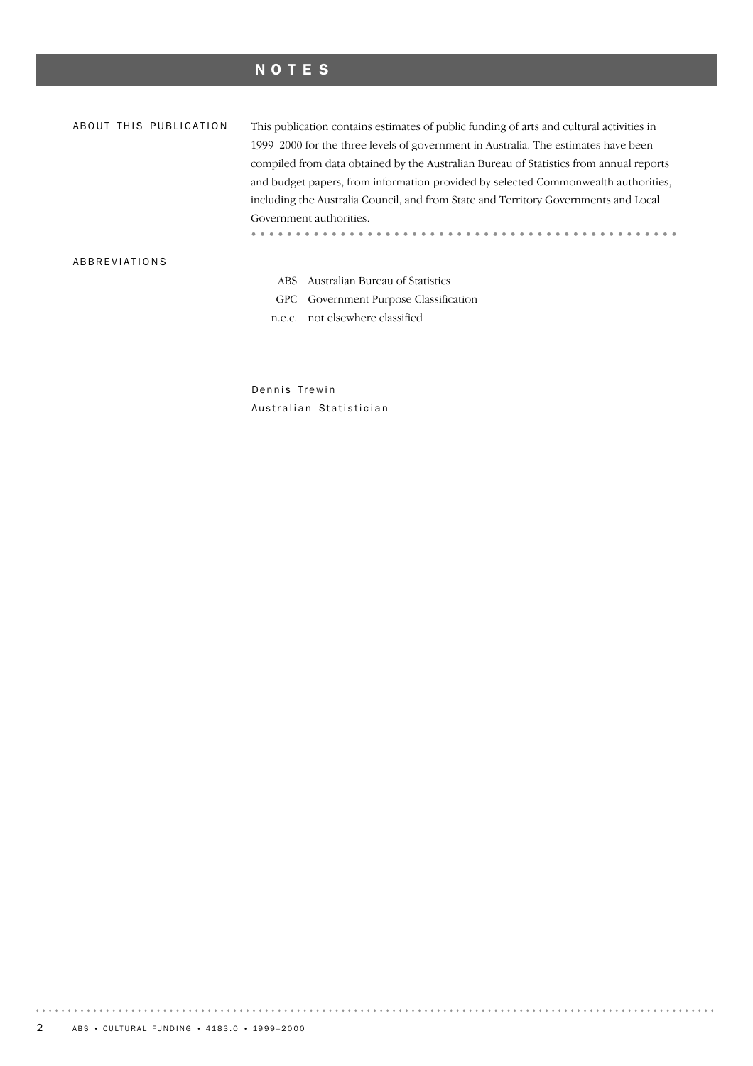### NOTES

This publication contains estimates of public funding of arts and cultural activities in ABOUT THIS PUBLICATION 1999–2000 for the three levels of government in Australia. The estimates have been compiled from data obtained by the Australian Bureau of Statistics from annual reports and budget papers, from information provided by selected Commonwealth authorities, including the Australia Council, and from State and Territory Governments and Local Government authorities. ABBREVIATIONS

ABS Australian Bureau of Statistics

GPC Government Purpose Classification

n.e.c. not elsewhere classified

Dennis Trewin Australian Statistician

. . . . . . .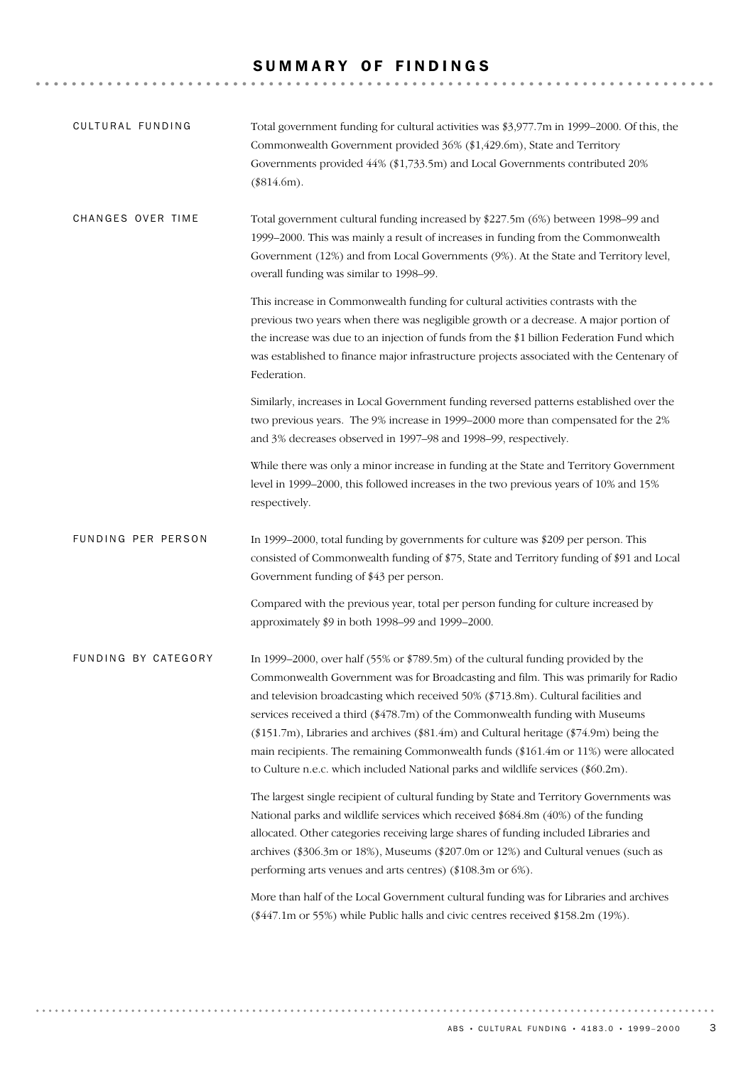#### SUMMARY OF FINDINGS

| CULTURAL FUNDING    | Total government funding for cultural activities was \$3,977.7m in 1999–2000. Of this, the<br>Commonwealth Government provided 36% (\$1,429.6m), State and Territory<br>Governments provided 44% (\$1,733.5m) and Local Governments contributed 20%<br>$(\$814.6m)$ .                                                                                                                                                                                                                                                                                                                                                      |
|---------------------|----------------------------------------------------------------------------------------------------------------------------------------------------------------------------------------------------------------------------------------------------------------------------------------------------------------------------------------------------------------------------------------------------------------------------------------------------------------------------------------------------------------------------------------------------------------------------------------------------------------------------|
| CHANGES OVER TIME   | Total government cultural funding increased by \$227.5m (6%) between 1998–99 and<br>1999–2000. This was mainly a result of increases in funding from the Commonwealth<br>Government (12%) and from Local Governments (9%). At the State and Territory level,<br>overall funding was similar to 1998-99.                                                                                                                                                                                                                                                                                                                    |
|                     | This increase in Commonwealth funding for cultural activities contrasts with the<br>previous two years when there was negligible growth or a decrease. A major portion of<br>the increase was due to an injection of funds from the \$1 billion Federation Fund which<br>was established to finance major infrastructure projects associated with the Centenary of<br>Federation.                                                                                                                                                                                                                                          |
|                     | Similarly, increases in Local Government funding reversed patterns established over the<br>two previous years. The 9% increase in 1999-2000 more than compensated for the 2%<br>and 3% decreases observed in 1997-98 and 1998-99, respectively.                                                                                                                                                                                                                                                                                                                                                                            |
|                     | While there was only a minor increase in funding at the State and Territory Government<br>level in 1999-2000, this followed increases in the two previous years of 10% and 15%<br>respectively.                                                                                                                                                                                                                                                                                                                                                                                                                            |
| FUNDING PER PERSON  | In 1999–2000, total funding by governments for culture was \$209 per person. This<br>consisted of Commonwealth funding of \$75, State and Territory funding of \$91 and Local<br>Government funding of \$43 per person.                                                                                                                                                                                                                                                                                                                                                                                                    |
|                     | Compared with the previous year, total per person funding for culture increased by<br>approximately \$9 in both 1998-99 and 1999-2000.                                                                                                                                                                                                                                                                                                                                                                                                                                                                                     |
| FUNDING BY CATEGORY | In 1999-2000, over half (55% or \$789.5m) of the cultural funding provided by the<br>Commonwealth Government was for Broadcasting and film. This was primarily for Radio<br>and television broadcasting which received 50% (\$713.8m). Cultural facilities and<br>services received a third (\$478.7m) of the Commonwealth funding with Museums<br>$(\$151.7m)$ , Libraries and archives $(\$81.4m)$ and Cultural heritage $(\$74.9m)$ being the<br>main recipients. The remaining Commonwealth funds (\$161.4m or 11%) were allocated<br>to Culture n.e.c. which included National parks and wildlife services (\$60.2m). |
|                     | The largest single recipient of cultural funding by State and Territory Governments was<br>National parks and wildlife services which received \$684.8m (40%) of the funding<br>allocated. Other categories receiving large shares of funding included Libraries and<br>archives (\$306.3m or 18%), Museums (\$207.0m or 12%) and Cultural venues (such as<br>performing arts venues and arts centres) (\$108.3m or 6%).                                                                                                                                                                                                   |
|                     | More than half of the Local Government cultural funding was for Libraries and archives<br>(\$447.1m or 55%) while Public halls and civic centres received \$158.2m (19%).                                                                                                                                                                                                                                                                                                                                                                                                                                                  |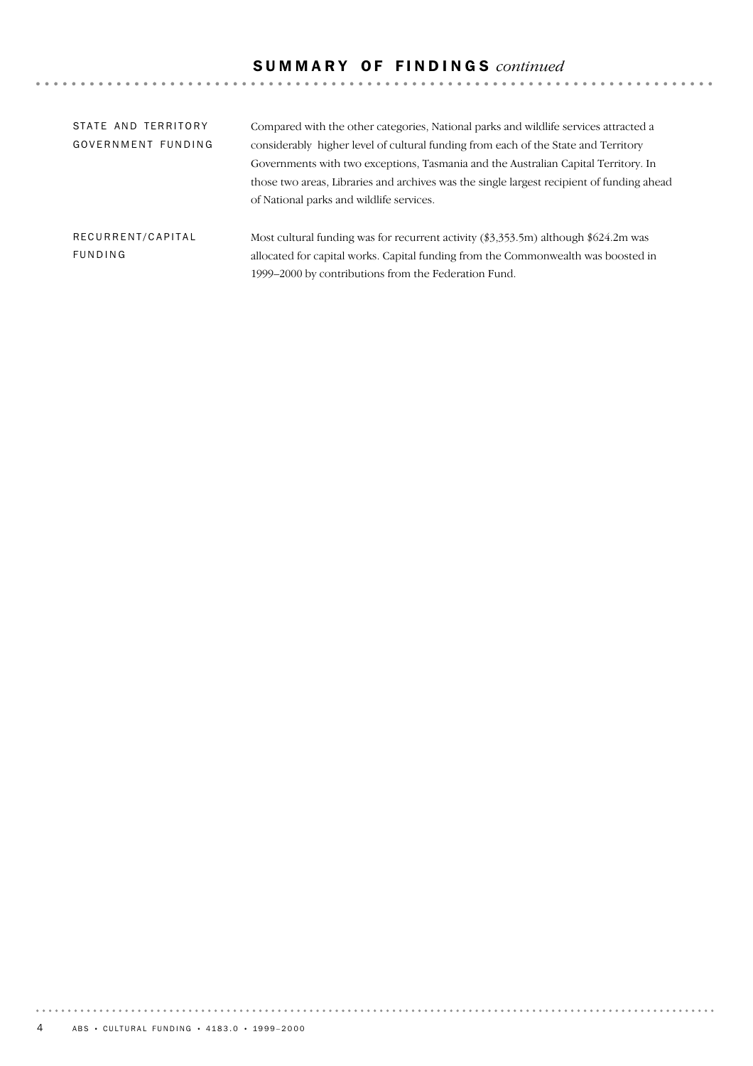# S U M M A R Y O F F I N D I N G S *continued*

| STATE AND TERRITORY<br>GOVERNMENT FUNDING | Compared with the other categories, National parks and wildlife services attracted a<br>considerably higher level of cultural funding from each of the State and Territory<br>Governments with two exceptions, Tasmania and the Australian Capital Territory. In<br>those two areas, Libraries and archives was the single largest recipient of funding ahead<br>of National parks and wildlife services. |
|-------------------------------------------|-----------------------------------------------------------------------------------------------------------------------------------------------------------------------------------------------------------------------------------------------------------------------------------------------------------------------------------------------------------------------------------------------------------|
| RECURRENT/CAPITAL<br>FUNDING              | Most cultural funding was for recurrent activity (\$3,353.5m) although \$624.2m was<br>allocated for capital works. Capital funding from the Commonwealth was boosted in<br>1999–2000 by contributions from the Federation Fund.                                                                                                                                                                          |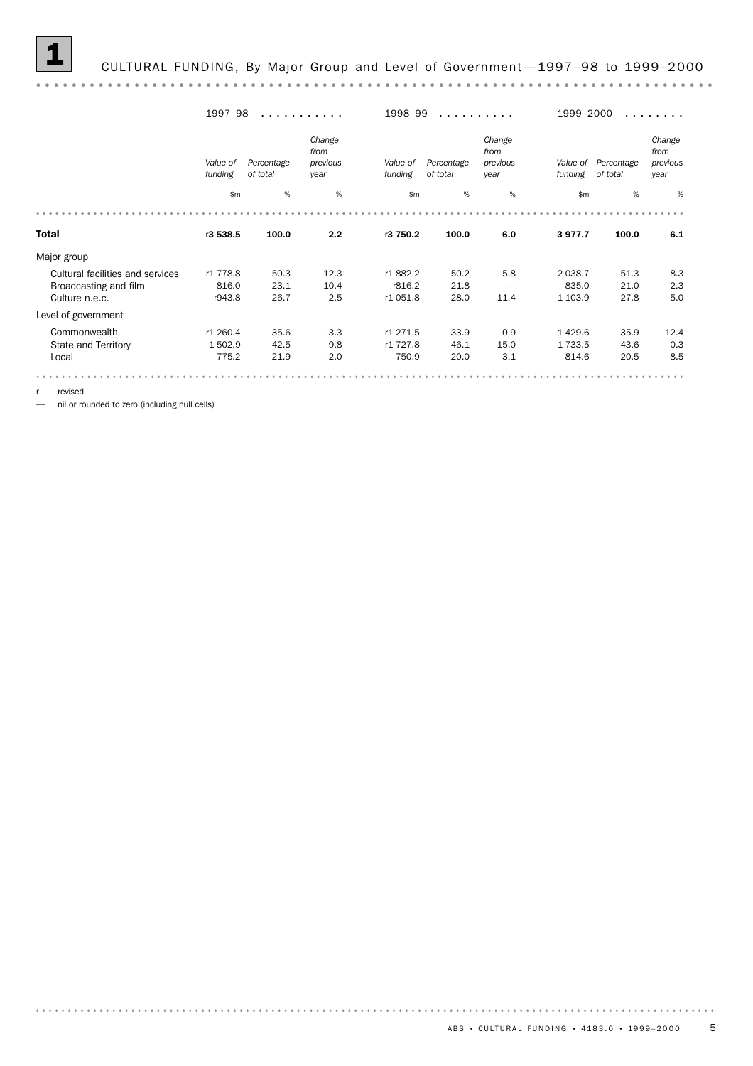#### 1 CULTURAL FUNDING, By Major Group and Level of Government —1997–98 to 1999–2000

1997–98 ........... .......... ........ 1998–99 1999–2000 *Change Change Change from from from previous Percentage Value of previous Percentage Value of Value of Percentage previous year year of total funding of total funding funding of total year* \$m % % \$m % % \$m % % Total r3 538.5 100.0 2.2 r3 750.2 100.0 6.0 3 977.7 100.0 6.1 Major group Cultural facilities and services r1 778.8 50.3 12.3 r1 882.2 50.2 5.8 2 038.7 51.3 8.3 Broadcasting and film 816.0 23.1 –10.4 r816.2 21.8 — 835.0 21.0 2.3 Culture n.e.c. r943.8 26.7 2.5 r1 051.8 28.0 11.4 1 103.9 27.8 5.0 Level of government Commonwealth r1 260.4 35.6 –3.3 r1 271.5 33.9 0.9 1 429.6 35.9 12.4 State and Territory 1 502.9 42.5 9.8 r1 727.8 46.1 15.0 1 733.5 43.6 0.3 Local 775.2 21.9 –2.0 750.9 20.0 –3.1 814.6 20.5 8.5 

r revised

— nil or rounded to zero (including null cells)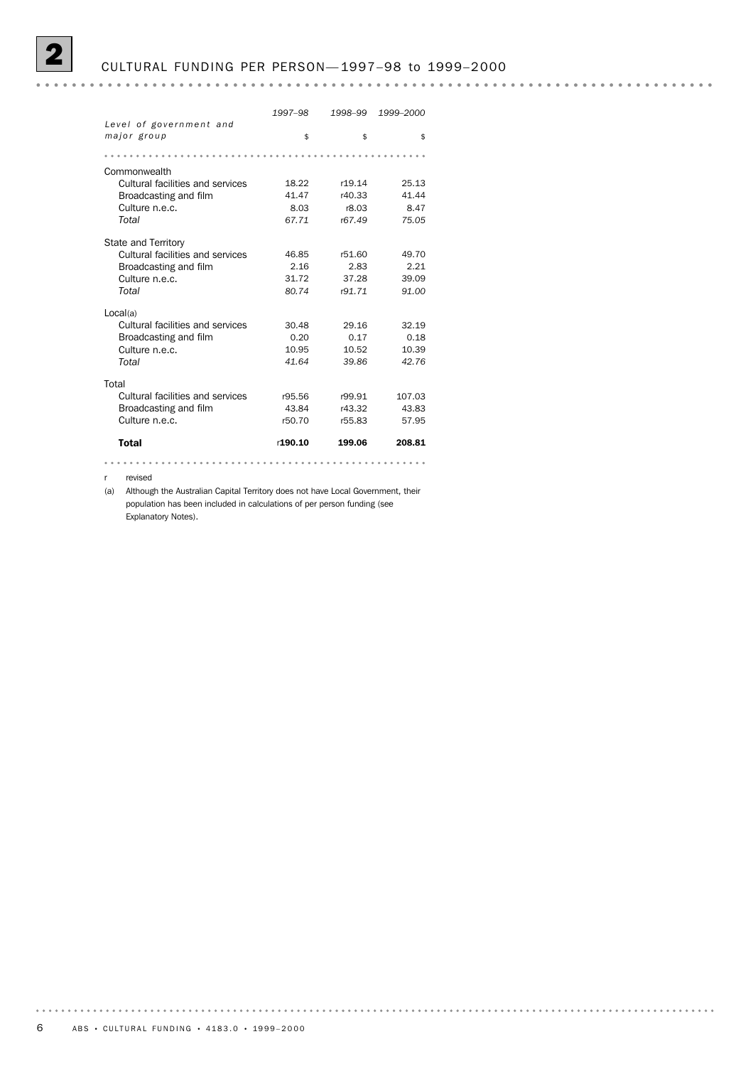#### 2 CULTURAL FUNDING PER PERSON— 1997–98 to 1999–2000

#### 

|                                              | 1997-98 | 1998-99 | 1999-2000 |
|----------------------------------------------|---------|---------|-----------|
| Level of government and                      |         |         |           |
| major group                                  | \$      | \$      | \$        |
|                                              |         |         |           |
| Commonwealth                                 |         |         |           |
| Cultural facilities and services             | 18.22   | r19.14  | 25.13     |
| Broadcasting and film                        | 41.47   | r40.33  | 41.44     |
| Culture n.e.c.                               | 8.03    | r8.03   | 8.47      |
| Total                                        | 67.71   | r67.49  | 75.05     |
| State and Territory                          |         |         |           |
| Cultural facilities and services             | 46.85   | r51.60  | 49.70     |
| Broadcasting and film                        | 2.16    | 2.83    | 2.21      |
| Culture n.e.c.                               | 31.72   | 37.28   | 39.09     |
| Total                                        | 80.74   | r91.71  | 91.00     |
|                                              |         |         |           |
| Local(a)<br>Cultural facilities and services | 30.48   | 29.16   | 32.19     |
| Broadcasting and film                        | 0.20    | 0.17    | 0.18      |
| Culture n.e.c.                               | 10.95   | 10.52   | 10.39     |
| Total                                        | 41.64   | 39.86   | 42.76     |
|                                              |         |         |           |
| Total                                        |         |         |           |
| Cultural facilities and services             | r95.56  | r99.91  | 107.03    |
| Broadcasting and film                        | 43.84   | r43.32  | 43.83     |
| Culture n.e.c.                               | r50.70  | r55.83  | 57.95     |
| <b>Total</b>                                 | r190.10 | 199.06  | 208.81    |
| .                                            |         | .       | .         |

r revised

(a) Although the Australian Capital Territory does not have Local Government, their population has been included in calculations of per person funding (see Explanatory Notes).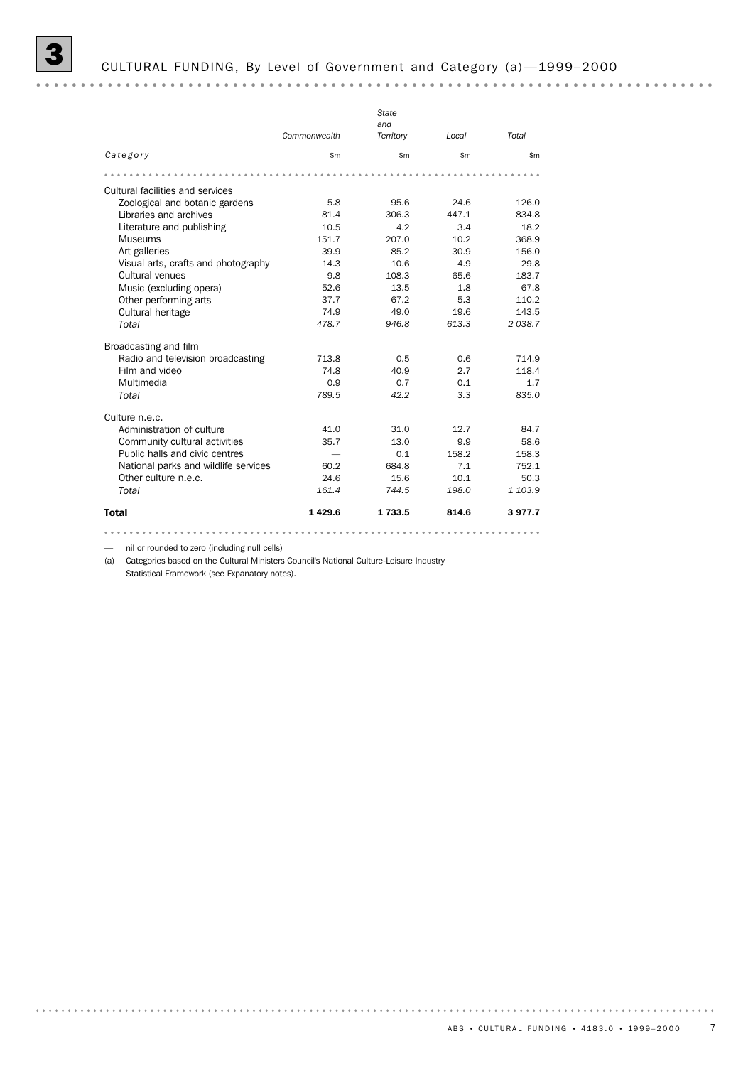|                                      |              | State            |       |         |
|--------------------------------------|--------------|------------------|-------|---------|
|                                      | Commonwealth | and<br>Territory | Local | Total   |
| Category                             | \$m\$        | \$m              | \$m\$ | \$m     |
|                                      |              |                  |       |         |
| Cultural facilities and services     |              |                  |       |         |
| Zoological and botanic gardens       | 5.8          | 95.6             | 24.6  | 126.0   |
| Libraries and archives               | 81.4         | 306.3            | 447.1 | 834.8   |
| Literature and publishing            | 10.5         | 4.2              | 3.4   | 18.2    |
| <b>Museums</b>                       | 151.7        | 207.0            | 10.2  | 368.9   |
| Art galleries                        | 39.9         | 85.2             | 30.9  | 156.0   |
| Visual arts, crafts and photography  | 14.3         | 10.6             | 4.9   | 29.8    |
| Cultural venues                      | 9.8          | 108.3            | 65.6  | 183.7   |
| Music (excluding opera)              | 52.6         | 13.5             | 1.8   | 67.8    |
| Other performing arts                | 37.7         | 67.2             | 5.3   | 110.2   |
| Cultural heritage                    | 74.9         | 49.0             | 19.6  | 143.5   |
| Total                                | 478.7        | 946.8            | 613.3 | 2038.7  |
| Broadcasting and film                |              |                  |       |         |
| Radio and television broadcasting    | 713.8        | 0.5              | 0.6   | 714.9   |
| Film and video                       | 74.8         | 40.9             | 2.7   | 118.4   |
| Multimedia                           | 0.9          | 0.7              | 0.1   | 1.7     |
| Total                                | 789.5        | 42.2             | 3.3   | 835.0   |
| Culture n.e.c.                       |              |                  |       |         |
| Administration of culture            | 41.0         | 31.0             | 12.7  | 84.7    |
| Community cultural activities        | 35.7         | 13.0             | 9.9   | 58.6    |
| Public halls and civic centres       |              | 0.1              | 158.2 | 158.3   |
| National parks and wildlife services | 60.2         | 684.8            | 7.1   | 752.1   |
| Other culture n.e.c.                 | 24.6         | 15.6             | 10.1  | 50.3    |
| Total                                | 161.4        | 744.5            | 198.0 | 1 103.9 |
| Total                                | 1429.6       | 1 733.5          | 814.6 | 3977.7  |

— nil or rounded to zero (including null cells)

(a) Categories based on the Cultural Ministers Council's National Culture-Leisure Industry

Statistical Framework (see Expanatory notes).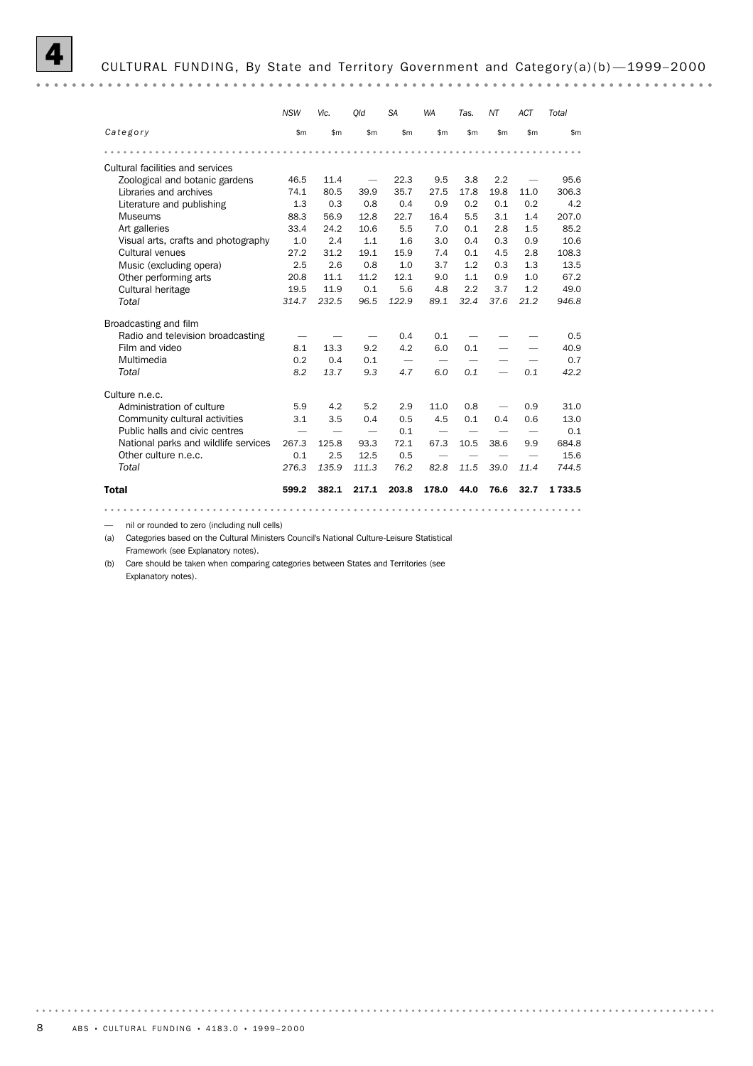

#### 4 CULTURAL FUNDING, By State and Territory Government and Category(a)(b) —1999–2000

*NSW Vic. Qld SA WA Tas. NT ACT Total Category* \$m \$m \$m \$m \$m \$m \$m \$m \$m Cultural facilities and services<br>
Zoological and botanic gardens 46.5 11.4 Zoological and botanic gardens 46.5 11.4 — 22.3 9.5 3.8 2.2 — 95.6 Libraries and archives 74.1 80.5 39.9 35.7 27.5 17.8 19.8 11.0 306.3 Literature and publishing 1.3 0.3 0.8 0.4 0.9 0.2 0.1 0.2 4.2 Museums 88.3 56.9 12.8 22.7 16.4 5.5 3.1 1.4 207.0 Art galleries 33.4 24.2 10.6 5.5 7.0 0.1 2.8 1.5 85.2 Visual arts, crafts and photography 1.0 2.4 1.1 1.6 3.0 0.4 0.3 0.9 10.6 Cultural venues 27.2 31.2 19.1 15.9 7.4 0.1 4.5 2.8 108.3 Music (excluding opera)  $2.5$  2.6 0.8 1.0 3.7 1.2 0.3 1.3 13.5<br>Other performing arts 20.8 11.1 11.2 12.1 9.0 1.1 0.9 1.0 67.2 Music (excluding opera) 2.5 2.6 0.8 1.0 3.7 1.2 0.3 1.3 13.5 Cultural heritage 19.5 11.9 0.1 5.6 4.8 2.2 3.7 1.2 49.0 *Total 314.7 232.5 96.5 122.9 89.1 32.4 37.6 21.2 946.8* Broadcasting and film Radio and television broadcasting  $\qquad \qquad \qquad -$  0.4  $\qquad$  0.1  $\qquad$   $\qquad$   $\qquad$   $\qquad$   $\qquad$  0.5 Film and video  $\begin{array}{cccccccccccc}\n8.1 & 13.3 & 9.2 & 4.2 & 6.0 & 0.1 & - & - & 40.9 \\
\text{Multimedia} & & & & & 0.2 & 0.4 & 0.1 & - & - & - & - & - & 0.7\n\end{array}$ Multimedia 0.2 0.4 0.1 — — — — — 0.7 *Total 8.2 13.7 9.3 4.7 6.0 0.1 — 0.1 42.2* Culture n.e.c. Administration of culture 5.9 4.2 5.2 2.9 11.0 0.8 — 0.9 31.0 Community cultural activities 3.1 3.5 0.4 0.5 4.5 0.1 0.4 0.6 13.0 Public halls and civic centres  $\qquad \qquad \qquad \qquad \qquad \qquad \qquad \qquad \qquad$  0.1 National parks and wildlife services 267.3 125.8 93.3 72.1 67.3 10.5 38.6 9.9 684.8 Other culture n.e.c. 0.1 2.5 12.5 0.5 – – – – 15.6 *Total 276.3 135.9 111.3 76.2 82.8 11.5 39.0 11.4 744.5* Total 599.2 382.1 217.1 203.8 178.0 44.0 76.6 32.7 1 733.5 

— nil or rounded to zero (including null cells)

(a) Categories based on the Cultural Ministers Council's National Culture-Leisure Statistical Framework (see Explanatory notes).

(b) Care should be taken when comparing categories between States and Territories (see Explanatory notes).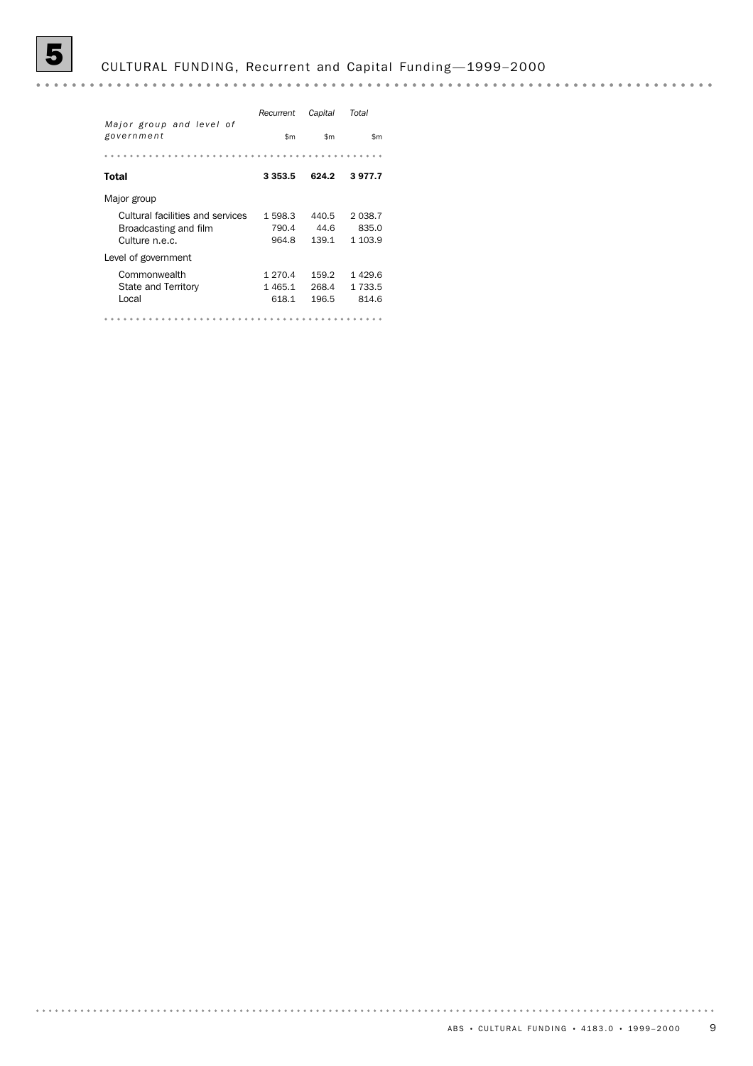# 5 CULTURAL FUNDING, Recurrent and Capital Funding —1999–2000

|                                                           | Recurrent        | Capital       | Total              |
|-----------------------------------------------------------|------------------|---------------|--------------------|
| Major group and level of<br>government                    | \$m              | \$m           | \$m                |
|                                                           |                  |               |                    |
| Total                                                     | 3 3 5 3 . 5      | 624.2         | 3977.7             |
| Major group                                               |                  |               |                    |
| Cultural facilities and services<br>Broadcasting and film | 1 598.3<br>790.4 | 440.5<br>44.6 | 2 0 3 8.7<br>835.0 |
| Culture n.e.c.                                            | 964.8            | 139.1         | 1 103.9            |
| Level of government                                       |                  |               |                    |
| Commonwealth                                              | 1 270.4          | 159.2         | 1429.6             |
| State and Territory                                       | 1465.1           | 268.4         | 1 733.5            |
| Local                                                     | 618.1            | 196.5         | 814.6              |
|                                                           |                  |               |                    |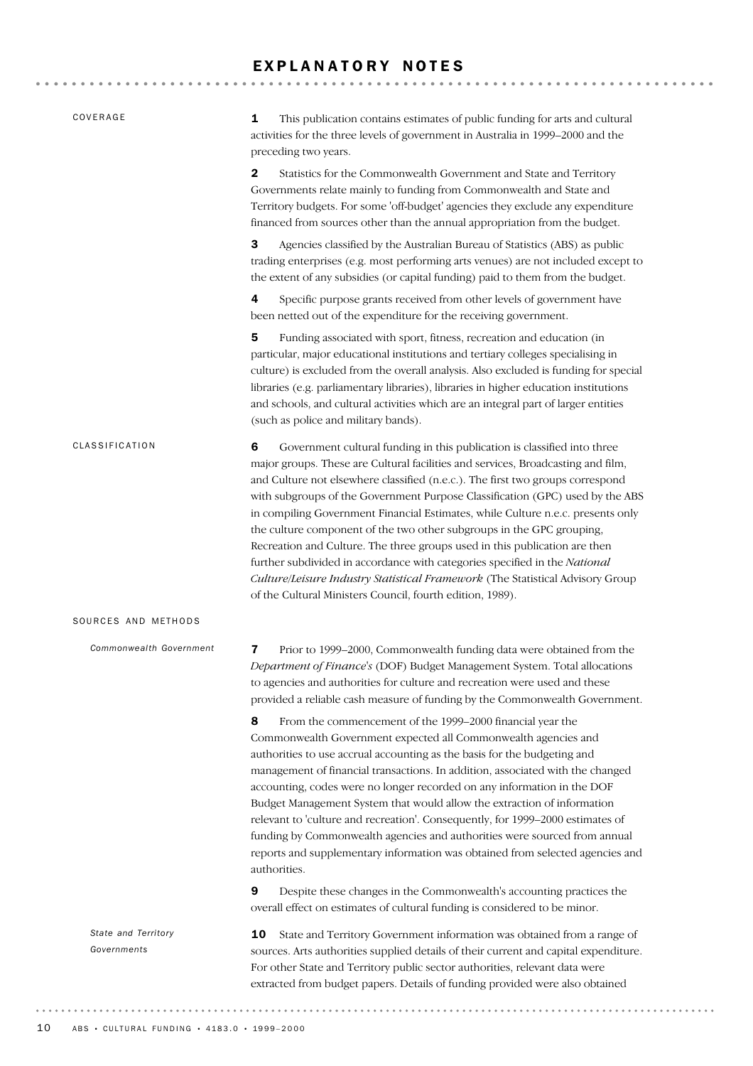### EXPLANATORY NOTES

| COVERAGE                           | 1<br>This publication contains estimates of public funding for arts and cultural<br>activities for the three levels of government in Australia in 1999-2000 and the<br>preceding two years.                                                                                                                                                                                                                                                                                                                                                                                                                                                                                                                                                                                                                 |
|------------------------------------|-------------------------------------------------------------------------------------------------------------------------------------------------------------------------------------------------------------------------------------------------------------------------------------------------------------------------------------------------------------------------------------------------------------------------------------------------------------------------------------------------------------------------------------------------------------------------------------------------------------------------------------------------------------------------------------------------------------------------------------------------------------------------------------------------------------|
|                                    | $\mathbf{2}$<br>Statistics for the Commonwealth Government and State and Territory<br>Governments relate mainly to funding from Commonwealth and State and<br>Territory budgets. For some 'off-budget' agencies they exclude any expenditure<br>financed from sources other than the annual appropriation from the budget.                                                                                                                                                                                                                                                                                                                                                                                                                                                                                  |
|                                    | 3<br>Agencies classified by the Australian Bureau of Statistics (ABS) as public<br>trading enterprises (e.g. most performing arts venues) are not included except to<br>the extent of any subsidies (or capital funding) paid to them from the budget.                                                                                                                                                                                                                                                                                                                                                                                                                                                                                                                                                      |
|                                    | 4<br>Specific purpose grants received from other levels of government have<br>been netted out of the expenditure for the receiving government.                                                                                                                                                                                                                                                                                                                                                                                                                                                                                                                                                                                                                                                              |
|                                    | 5<br>Funding associated with sport, fitness, recreation and education (in<br>particular, major educational institutions and tertiary colleges specialising in<br>culture) is excluded from the overall analysis. Also excluded is funding for special<br>libraries (e.g. parliamentary libraries), libraries in higher education institutions<br>and schools, and cultural activities which are an integral part of larger entities<br>(such as police and military bands).                                                                                                                                                                                                                                                                                                                                 |
| CLASSIFICATION                     | 6<br>Government cultural funding in this publication is classified into three<br>major groups. These are Cultural facilities and services, Broadcasting and film,<br>and Culture not elsewhere classified (n.e.c.). The first two groups correspond<br>with subgroups of the Government Purpose Classification (GPC) used by the ABS<br>in compiling Government Financial Estimates, while Culture n.e.c. presents only<br>the culture component of the two other subgroups in the GPC grouping,<br>Recreation and Culture. The three groups used in this publication are then<br>further subdivided in accordance with categories specified in the National<br>Culture/Leisure Industry Statistical Framework (The Statistical Advisory Group<br>of the Cultural Ministers Council, fourth edition, 1989). |
| SOURCES AND METHODS                |                                                                                                                                                                                                                                                                                                                                                                                                                                                                                                                                                                                                                                                                                                                                                                                                             |
| Commonwealth Government            | Prior to 1999-2000, Commonwealth funding data were obtained from the<br>7<br>Department of Finance's (DOF) Budget Management System. Total allocations<br>to agencies and authorities for culture and recreation were used and these<br>provided a reliable cash measure of funding by the Commonwealth Government.                                                                                                                                                                                                                                                                                                                                                                                                                                                                                         |
|                                    | 8<br>From the commencement of the 1999-2000 financial year the<br>Commonwealth Government expected all Commonwealth agencies and<br>authorities to use accrual accounting as the basis for the budgeting and<br>management of financial transactions. In addition, associated with the changed<br>accounting, codes were no longer recorded on any information in the DOF<br>Budget Management System that would allow the extraction of information<br>relevant to 'culture and recreation'. Consequently, for 1999-2000 estimates of<br>funding by Commonwealth agencies and authorities were sourced from annual<br>reports and supplementary information was obtained from selected agencies and<br>authorities.                                                                                        |
|                                    | 9<br>Despite these changes in the Commonwealth's accounting practices the<br>overall effect on estimates of cultural funding is considered to be minor.                                                                                                                                                                                                                                                                                                                                                                                                                                                                                                                                                                                                                                                     |
| State and Territory<br>Governments | State and Territory Government information was obtained from a range of<br>10<br>sources. Arts authorities supplied details of their current and capital expenditure.<br>For other State and Territory public sector authorities, relevant data were<br>extracted from budget papers. Details of funding provided were also obtained                                                                                                                                                                                                                                                                                                                                                                                                                                                                        |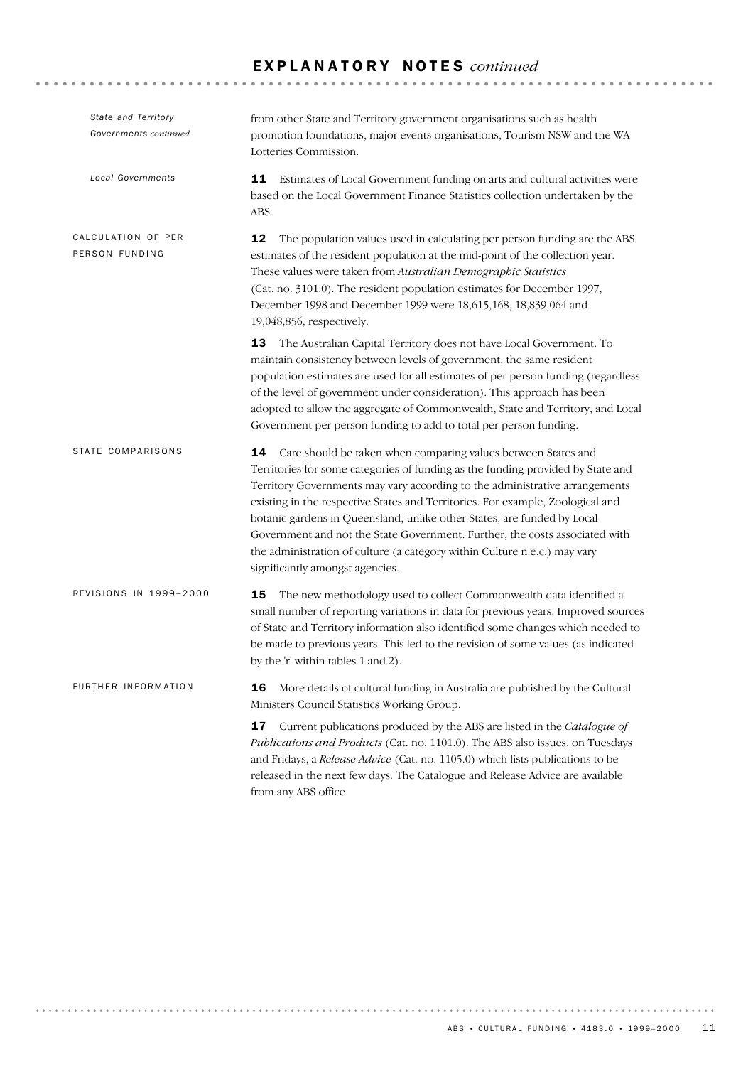### E X P L A N A T O R Y N O T E S *continued*

| State and Territory<br>Governments continued | from other State and Territory government organisations such as health<br>promotion foundations, major events organisations, Tourism NSW and the WA<br>Lotteries Commission.                                                                                                                                                                                                                                                                                                                                                                                                                      |
|----------------------------------------------|---------------------------------------------------------------------------------------------------------------------------------------------------------------------------------------------------------------------------------------------------------------------------------------------------------------------------------------------------------------------------------------------------------------------------------------------------------------------------------------------------------------------------------------------------------------------------------------------------|
| <b>Local Governments</b>                     | Estimates of Local Government funding on arts and cultural activities were<br>11<br>based on the Local Government Finance Statistics collection undertaken by the<br>ABS.                                                                                                                                                                                                                                                                                                                                                                                                                         |
| CALCULATION OF PER<br>PERSON FUNDING         | 12<br>The population values used in calculating per person funding are the ABS<br>estimates of the resident population at the mid-point of the collection year.<br>These values were taken from Australian Demographic Statistics<br>(Cat. no. 3101.0). The resident population estimates for December 1997,<br>December 1998 and December 1999 were 18,615,168, 18,839,064 and<br>19,048,856, respectively.                                                                                                                                                                                      |
|                                              | 13<br>The Australian Capital Territory does not have Local Government. To<br>maintain consistency between levels of government, the same resident<br>population estimates are used for all estimates of per person funding (regardless<br>of the level of government under consideration). This approach has been<br>adopted to allow the aggregate of Commonwealth, State and Territory, and Local<br>Government per person funding to add to total per person funding.                                                                                                                          |
| <b>STATE COMPARISONS</b>                     | Care should be taken when comparing values between States and<br>14<br>Territories for some categories of funding as the funding provided by State and<br>Territory Governments may vary according to the administrative arrangements<br>existing in the respective States and Territories. For example, Zoological and<br>botanic gardens in Queensland, unlike other States, are funded by Local<br>Government and not the State Government. Further, the costs associated with<br>the administration of culture (a category within Culture n.e.c.) may vary<br>significantly amongst agencies. |
| REVISIONS IN 1999-2000                       | 15<br>The new methodology used to collect Commonwealth data identified a<br>small number of reporting variations in data for previous years. Improved sources<br>of State and Territory information also identified some changes which needed to<br>be made to previous years. This led to the revision of some values (as indicated<br>by the 'r' within tables 1 and 2).                                                                                                                                                                                                                        |
| FURTHER INFORMATION                          | More details of cultural funding in Australia are published by the Cultural<br>16<br>Ministers Council Statistics Working Group.                                                                                                                                                                                                                                                                                                                                                                                                                                                                  |
|                                              | 17<br>Current publications produced by the ABS are listed in the Catalogue of<br>Publications and Products (Cat. no. 1101.0). The ABS also issues, on Tuesdays<br>and Fridays, a Release Advice (Cat. no. 1105.0) which lists publications to be<br>released in the next few days. The Catalogue and Release Advice are available<br>from any ABS office                                                                                                                                                                                                                                          |